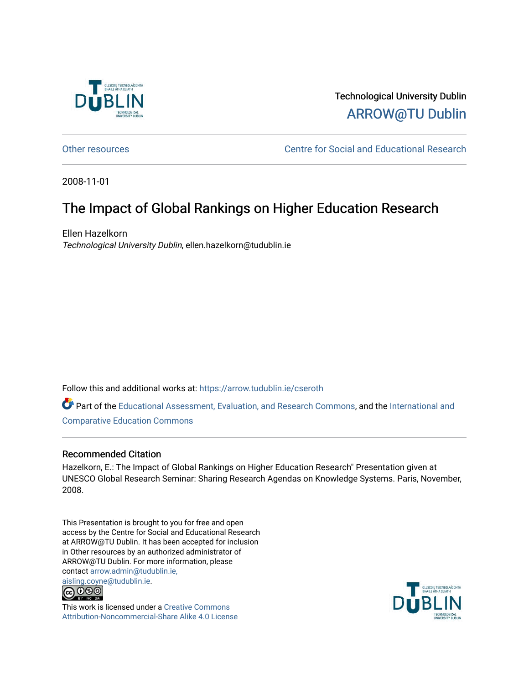

#### Technological University Dublin [ARROW@TU Dublin](https://arrow.tudublin.ie/)

[Other resources](https://arrow.tudublin.ie/cseroth) **CENTE:** Centre for Social and Educational Research

2008-11-01

#### The Impact of Global Rankings on Higher Education Research

Ellen Hazelkorn Technological University Dublin, ellen.hazelkorn@tudublin.ie

Follow this and additional works at: [https://arrow.tudublin.ie/cseroth](https://arrow.tudublin.ie/cseroth?utm_source=arrow.tudublin.ie%2Fcseroth%2F12&utm_medium=PDF&utm_campaign=PDFCoverPages)

Part of the [Educational Assessment, Evaluation, and Research Commons](http://network.bepress.com/hgg/discipline/796?utm_source=arrow.tudublin.ie%2Fcseroth%2F12&utm_medium=PDF&utm_campaign=PDFCoverPages), and the [International and](http://network.bepress.com/hgg/discipline/797?utm_source=arrow.tudublin.ie%2Fcseroth%2F12&utm_medium=PDF&utm_campaign=PDFCoverPages) [Comparative Education Commons](http://network.bepress.com/hgg/discipline/797?utm_source=arrow.tudublin.ie%2Fcseroth%2F12&utm_medium=PDF&utm_campaign=PDFCoverPages) 

#### Recommended Citation

Hazelkorn, E.: The Impact of Global Rankings on Higher Education Research" Presentation given at UNESCO Global Research Seminar: Sharing Research Agendas on Knowledge Systems. Paris, November, 2008.

This Presentation is brought to you for free and open access by the Centre for Social and Educational Research at ARROW@TU Dublin. It has been accepted for inclusion in Other resources by an authorized administrator of ARROW@TU Dublin. For more information, please contact [arrow.admin@tudublin.ie,](mailto:arrow.admin@tudublin.ie,%20aisling.coyne@tudublin.ie)  [aisling.coyne@tudublin.ie.](mailto:arrow.admin@tudublin.ie,%20aisling.coyne@tudublin.ie)<br>© 090



This work is licensed under a [Creative Commons](http://creativecommons.org/licenses/by-nc-sa/4.0/) [Attribution-Noncommercial-Share Alike 4.0 License](http://creativecommons.org/licenses/by-nc-sa/4.0/)

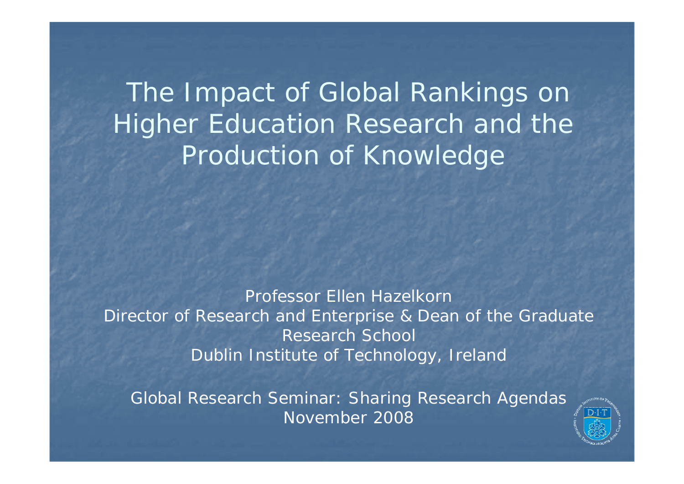The Impact of Global Rankings on Higher Education Research and the Production of Knowledge

Professor Ellen Hazelkorn Director of Research and Enterprise & Dean of the Graduate Research School Dublin Institute of Technology, Ireland

Global Research Seminar: Sharing Research Agendas November 2008

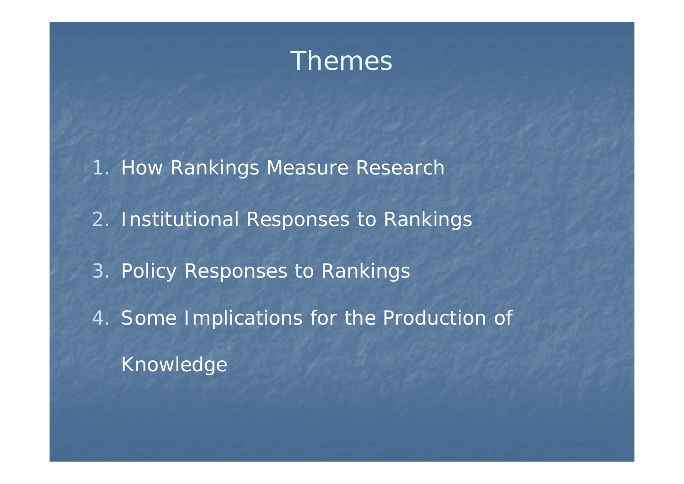

- 1. How Rankings Measure Research
- 2. Institutional Responses to Rankings
- 3. Policy Responses to Rankings
- 4. Some Implications for the Production of Knowledge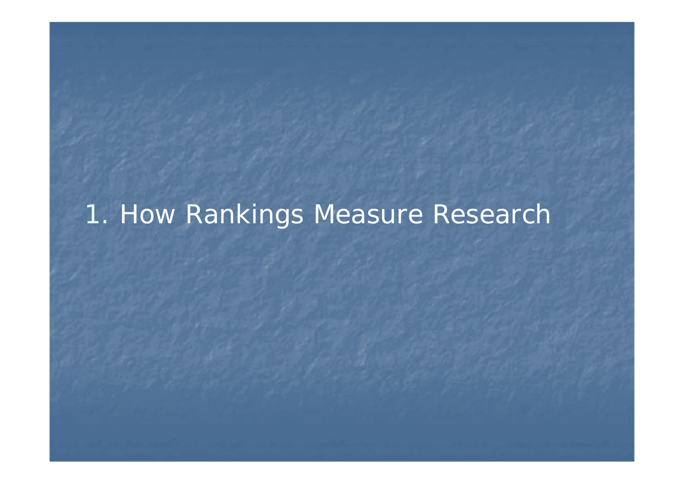# 1. How Rankings Measure Research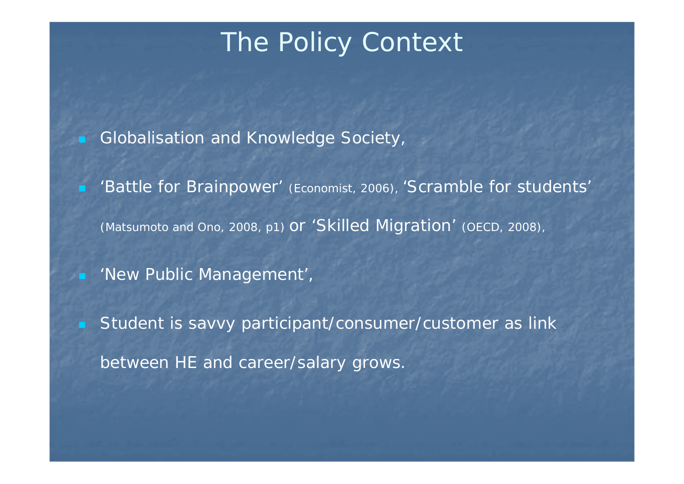# The Policy Context

- Globalisation and Knowledge Society,
- 'Battle for Brainpower' (Economist, 2006), 'Scramble for students' (Matsumoto and Ono, 2008, p1) or 'Skilled Migration' (OECD, 2008),
- **New Public Management'**,
- Student is savvy participant/consumer/customer as link between HE and career/salary grows.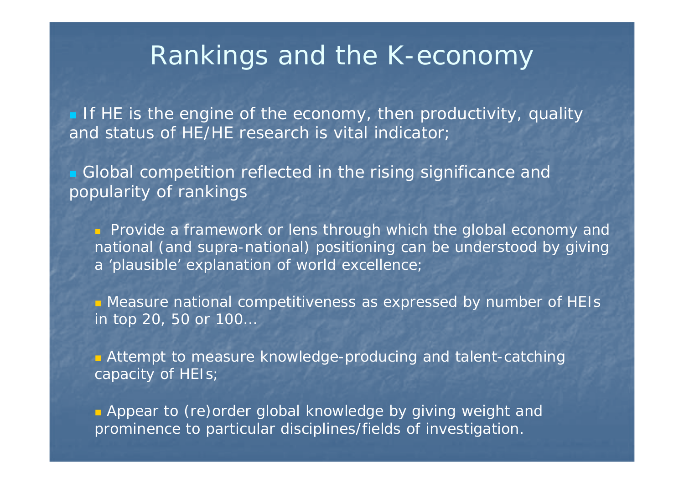## Rankings and the K-economy

 $\blacksquare$  If HE is the engine of the economy, then productivity, quality and status of HE/HE research is vital indicator;

**Global competition reflected in the rising significance and** popularity of rankings

**Provide a framework or lens through which the global economy and** national (and supra-national) positioning can be understood by giving <sup>a</sup>'plausible' explanation of world excellence;

 Measure national competitiveness as expressed by number of HEIs in top 20, 50 or 100…

**Attempt to measure knowledge-producing and talent-catching** capacity of HEIs;

**Appear to (re)order global knowledge by giving weight and** prominence to particular disciplines/fields of investigation.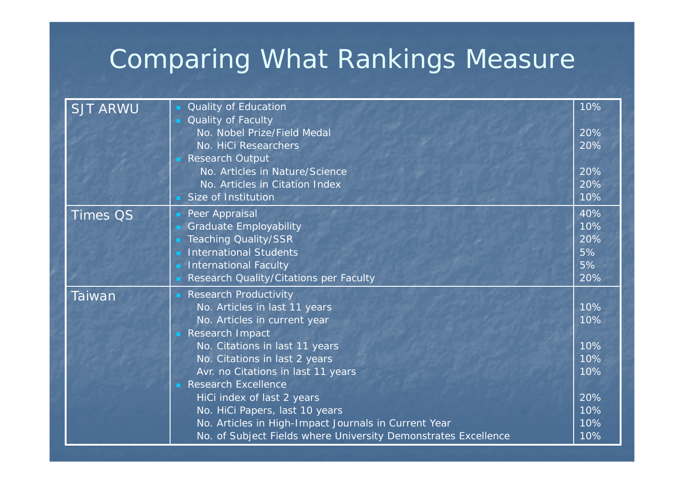# Comparing What Rankings Measure

| <b>SJT ARWU</b> | Quality of Education<br>Quality of Faculty<br>No. Nobel Prize/Field Medal<br>No. HiCi Researchers<br><b>Research Output</b><br>No. Articles in Nature/Science<br>No. Articles in Citation Index<br>Size of Institution                                                                                                                                                                                                                            | 10%<br>20%<br>20%<br>20%<br>20%<br>10%                      |
|-----------------|---------------------------------------------------------------------------------------------------------------------------------------------------------------------------------------------------------------------------------------------------------------------------------------------------------------------------------------------------------------------------------------------------------------------------------------------------|-------------------------------------------------------------|
| <b>Times QS</b> | Peer Appraisal<br><b>Graduate Employability</b><br><b>Teaching Quality/SSR</b><br><b>International Students</b><br><b>International Faculty</b><br>Research Quality/Citations per Faculty                                                                                                                                                                                                                                                         | 40%<br>10%<br>20%<br>5%<br>5%<br>20%                        |
| <b>Taiwan</b>   | <b>Research Productivity</b><br>No. Articles in last 11 years<br>No. Articles in current year<br>Research Impact<br>No. Citations in last 11 years<br>No. Citations in last 2 years<br>Avr. no Citations in last 11 years<br><b>Research Excellence</b><br>HiCi index of last 2 years<br>No. HiCi Papers, last 10 years<br>No. Articles in High-Impact Journals in Current Year<br>No. of Subject Fields where University Demonstrates Excellence | 10%<br>10%<br>10%<br>10%<br>10%<br>20%<br>10%<br>10%<br>10% |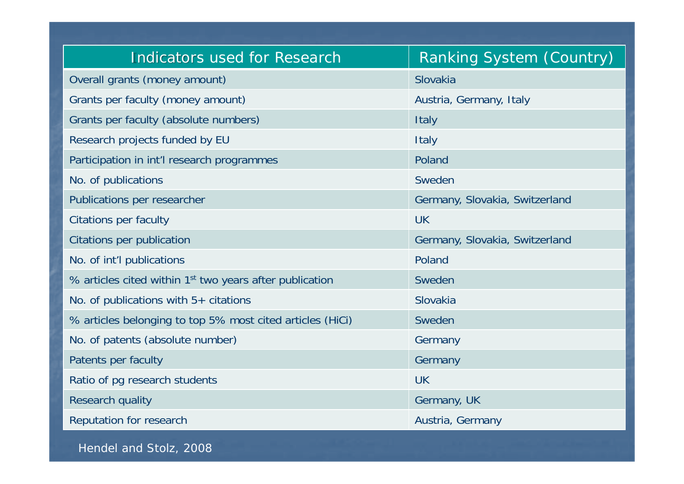| <b>Indicators used for Research</b>                                 | Ranking System (Country)       |  |
|---------------------------------------------------------------------|--------------------------------|--|
| Overall grants (money amount)                                       | Slovakia                       |  |
| Grants per faculty (money amount)                                   | Austria, Germany, Italy        |  |
| Grants per faculty (absolute numbers)                               | <b>Italy</b>                   |  |
| Research projects funded by EU                                      | <b>Italy</b>                   |  |
| Participation in int'l research programmes                          | Poland                         |  |
| No. of publications                                                 | Sweden                         |  |
| Publications per researcher                                         | Germany, Slovakia, Switzerland |  |
| <b>Citations per faculty</b>                                        | <b>UK</b>                      |  |
| Citations per publication                                           | Germany, Slovakia, Switzerland |  |
| No. of int'l publications                                           | Poland                         |  |
| % articles cited within 1 <sup>st</sup> two years after publication | Sweden                         |  |
| No. of publications with $5+$ citations                             | Slovakia                       |  |
| % articles belonging to top 5% most cited articles (HiCi)           | Sweden                         |  |
| No. of patents (absolute number)                                    | Germany                        |  |
| Patents per faculty                                                 | Germany                        |  |
| Ratio of pg research students                                       | <b>UK</b>                      |  |
| <b>Research quality</b>                                             | Germany, UK                    |  |
| Reputation for research                                             | Austria, Germany               |  |

Hendel and Stolz, 2008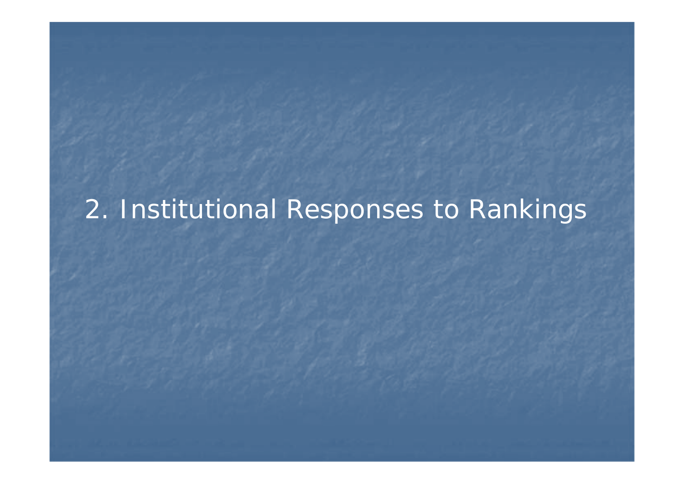# 2. Institutional Responses to Rankings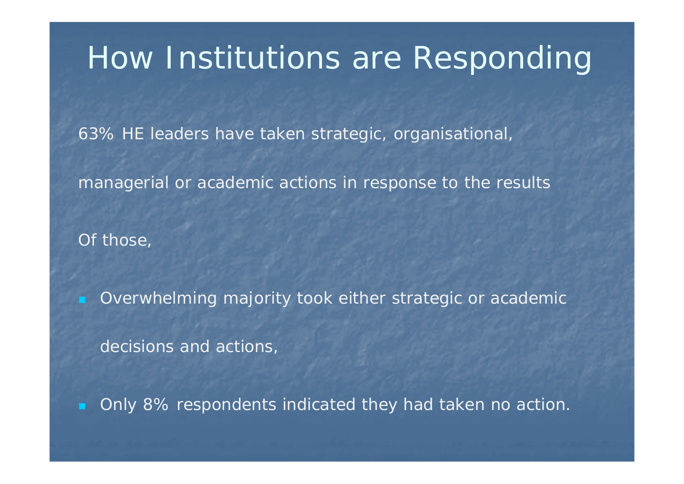# How Institutions are Responding

63% HE leaders have taken strategic, organisational,

managerial or academic actions in response to the results

Of those,

Overwhelming majority took either strategic or academic

decisions and actions,

Only 8% respondents indicated they had taken no action.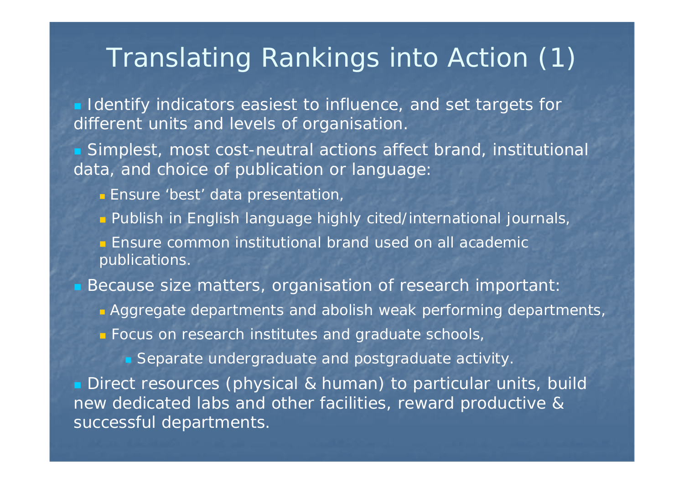## Translating Rankings into Action (1)

**I** Identify indicators easiest to influence, and set targets for different units and levels of organisation.

 Simplest, most cost-neutral actions affect brand, institutional data, and choice of publication or language:

- **Ensure 'best' data presentation**,
- **Publish in English language highly cited/international journals**

**Ensure common institutional brand used on all academic** publications.

Because size matters, organisation of research important:

- **Aggregate departments and abolish weak performing departments**
- **Focus on research institutes and graduate schools**,

**Separate undergraduate and postgraduate activity** 

**Direct resources (physical & human) to particular units, build** new dedicated labs and other facilities, reward productive & successful departments.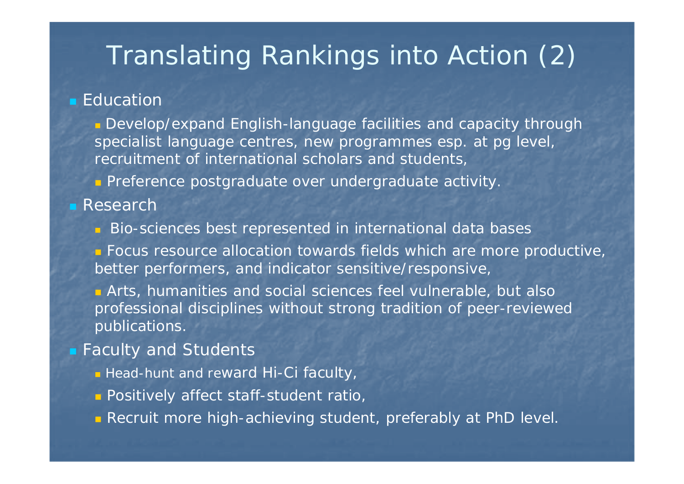# Translating Rankings into Action (2)

#### Education

**Develop/expand English-language facilities and capacity through** specialist language centres, new programmes esp. at pg level, recruitment of international scholars and students,

**Preference postgraduate over undergraduate activity** 

#### Research

- **Bio-sciences best represented in international data bases**
- **Focus resource allocation towards fields which are more productive,** better performers, and indicator sensitive/responsive,

 Arts, humanities and social sciences feel vulnerable, but also professional disciplines without strong tradition of peer-reviewed publications.

#### **Eaculty and Students**

- **•** Head-hunt and reward Hi-Ci faculty
- **Positively affect staff-student ratio**
- **Recruit more high-achieving student, preferably at PhD level.**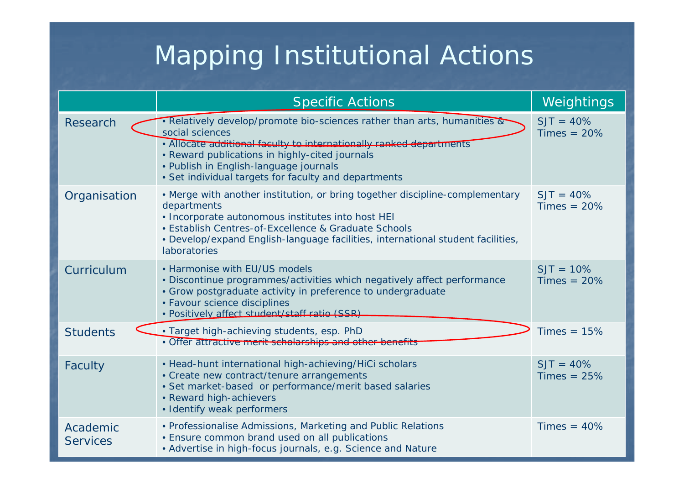# Mapping Institutional Actions

|                             | <b>Specific Actions</b>                                                                                                                                                                                                                                                                                                | Weightings                    |
|-----------------------------|------------------------------------------------------------------------------------------------------------------------------------------------------------------------------------------------------------------------------------------------------------------------------------------------------------------------|-------------------------------|
| Research                    | . Relatively develop/promote bio-sciences rather than arts, humanities &<br>social sciences<br>. Allocate additional faculty to internationally ranked departments<br>• Reward publications in highly-cited journals<br>• Publish in English-language journals<br>• Set individual targets for faculty and departments | $SJT = 40\%$<br>Times $= 20%$ |
| Organisation                | • Merge with another institution, or bring together discipline-complementary<br>departments<br>. Incorporate autonomous institutes into host HEI<br>• Establish Centres-of-Excellence & Graduate Schools<br>• Develop/expand English-language facilities, international student facilities,<br>laboratories            | $SJT = 40%$<br>Times $= 20%$  |
| Curriculum                  | • Harmonise with EU/US models<br>· Discontinue programmes/activities which negatively affect performance<br>• Grow postgraduate activity in preference to undergraduate<br>• Favour science disciplines<br>· Positively affect student/staff ratio (SSR)                                                               | $SJT = 10%$<br>$Times = 20\%$ |
| <b>Students</b>             | . Target high-achieving students, esp. PhD<br>· Offer attractive merit scholarships and other-                                                                                                                                                                                                                         | Times $= 15%$                 |
| Faculty                     | • Head-hunt international high-achieving/HiCi scholars<br>• Create new contract/tenure arrangements<br>• Set market-based or performance/merit based salaries<br>· Reward high-achievers<br>• Identify weak performers                                                                                                 | $SJT = 40%$<br>$Times = 25%$  |
| Academic<br><b>Services</b> | • Professionalise Admissions, Marketing and Public Relations<br><b>• Ensure common brand used on all publications</b><br>• Advertise in high-focus journals, e.g. Science and Nature                                                                                                                                   | $Times = 40%$                 |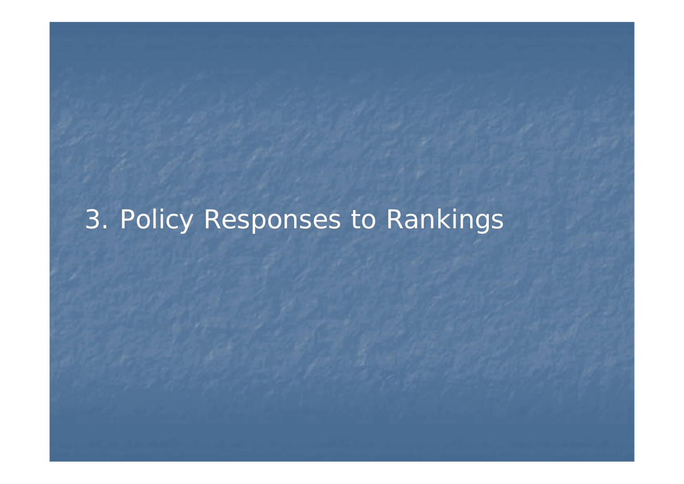# 3. Policy Responses to Rankings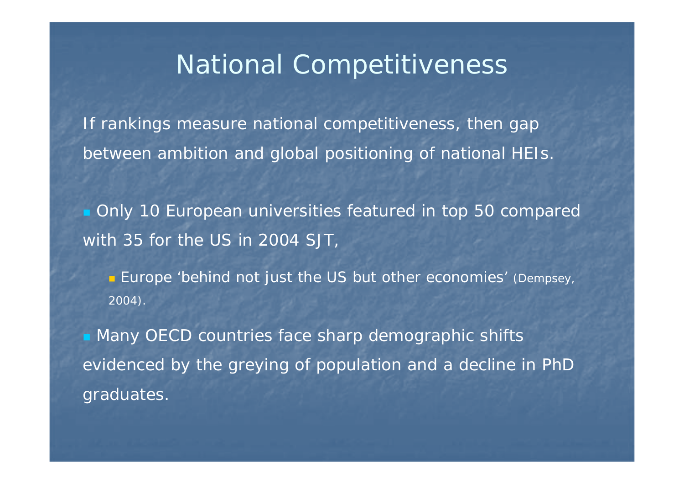## National Competitiveness

If rankings measure national competitiveness, then gap between ambition and global positioning of national HEIs.

 Only 10 European universities featured in top 50 compared with 35 for the US in 2004 SJT,

**Europe 'behind not just the US but other economies' (**Dempsey, 2004).

**• Many OECD countries face sharp demographic shifts** evidenced by the greying of population and a decline in PhD graduates.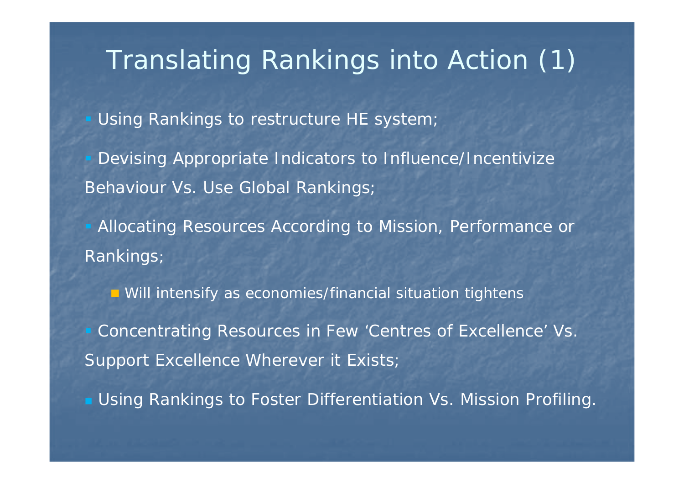# Translating Rankings into Action (1)

Using Rankings to restructure HE system;

 Devising Appropriate Indicators to Influence/Incentivize Behaviour Vs. Use Global Rankings;

**Allocating Resources According to Mission, Performance or** Rankings;

**n** Will intensify as economies/financial situation tightens

 Concentrating Resources in Few 'Centres of Excellence' Vs. Support Excellence Wherever it Exists;

Using Rankings to Foster Differentiation Vs. Mission Profiling.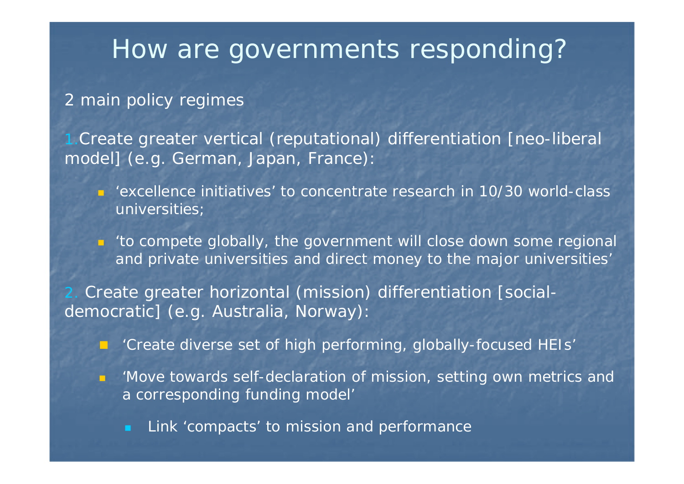## How are governments responding?

### 2 main policy regimes

1.Create greater vertical (reputational) differentiation [neo-liberal model] (e.g. German, Japan, France):

- 'excellence initiatives' to concentrate research in 10/30 world-class universities;
- *'to compete globally, the government will close down some regional and private universities and direct money to the major universities'*

 Create greater horizontal (mission) differentiation [socialdemocratic] (e.g. Australia, Norway):

- 'Create diverse set of high performing, globally-focused HEIs'
- . *'Move towards self-declaration of mission, setting own metrics and a corresponding funding model'* 
	- Link 'compacts' to mission and performance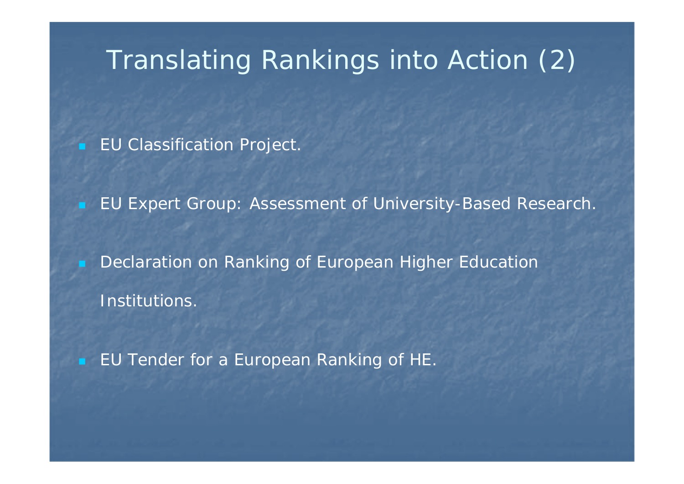# Translating Rankings into Action (2)

EU Classification Project.

EU Expert Group: Assessment of University-Based Research.

 Declaration on Ranking of European Higher Education Institutions.

EU Tender for a European Ranking of HE.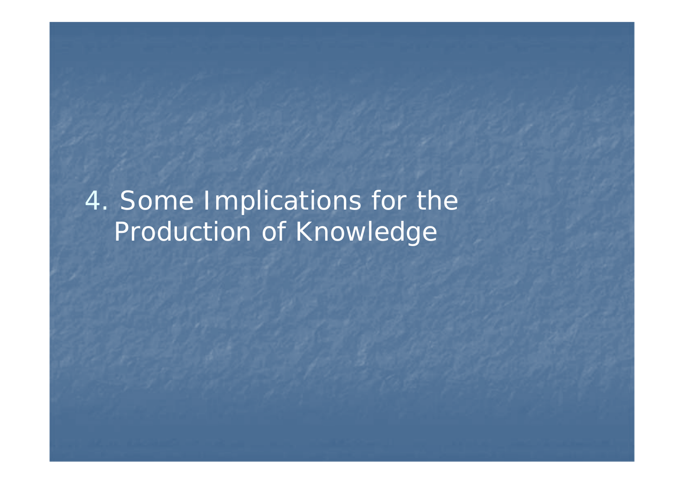4. Some Implications for the Production of Knowledge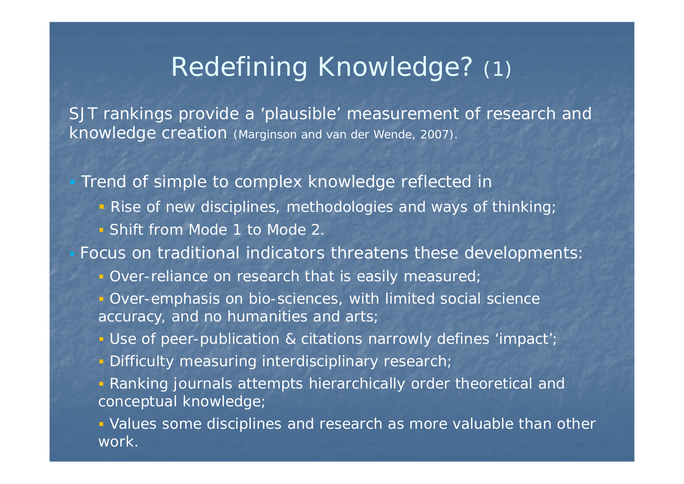# Redefining Knowledge? (1)

SJT rankings provide a 'plausible' measurement of research and knowledge creation (Marginson and van der Wende, 2007).

Trend of simple to complex knowledge reflected in

- **•** Rise of new disciplines, methodologies and ways of thinking;
- Shift from Mode 1 to Mode 2.

Focus on traditional indicators threatens these developments:

- **Over-reliance on research that is easily measured**
- **Over-emphasis on bio-sciences, with limited social science** accuracy, and no humanities and arts;
- **Use of peer-publication & citations narrowly defines 'impact'**
- **Difficulty measuring interdisciplinary research**

 Ranking journals attempts hierarchically order theoretical and conceptual knowledge;

 Values some disciplines and research as more valuable than other work.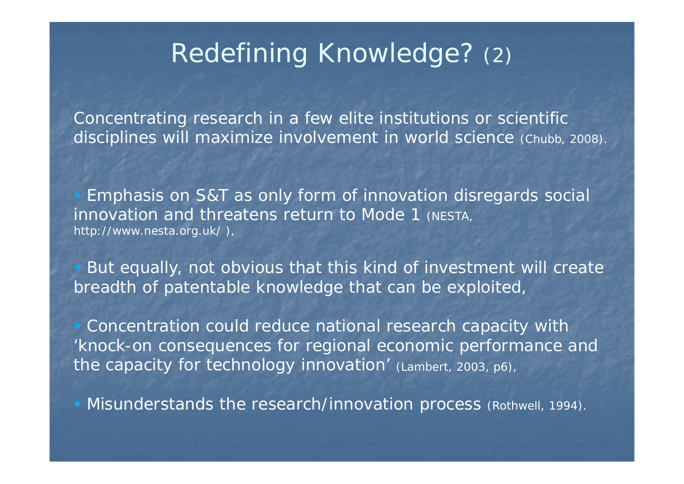# Redefining Knowledge? (2)

Concentrating research in a few elite institutions or scientific disciplines will maximize involvement in world science (Chubb, 2008).

**Emphasis on S&T as only form of innovation disregards social** innovation and threatens return to Mode 1 (NESTA, http://www.nesta.org.uk/ ),

 But equally, not obvious that this kind of investment will create breadth of patentable knowledge that can be exploited,

 Concentration could reduce national research capacity with 'knock-on consequences for regional economic performance and the capacity for technology innovation' (Lambert, 2003, p6),

**Misunderstands the research/innovation process (Rothwell, 1994).**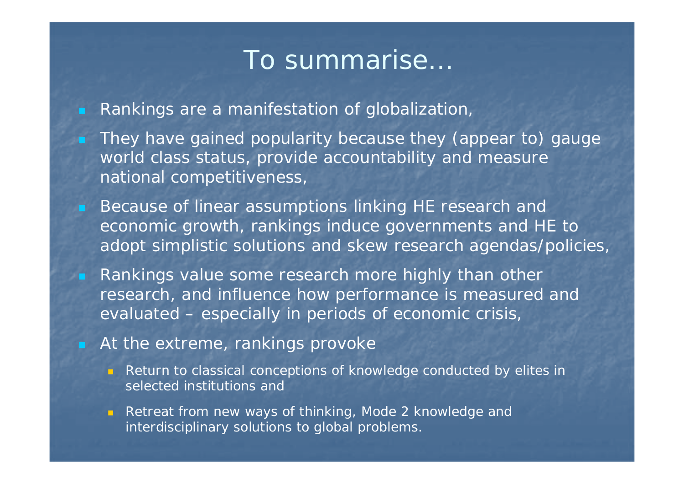### To summarise…

Rankings are a manifestation of globalization,

 They have gained popularity because they (appear to) gauge world class status, provide accountability and measure national competitiveness,

 Because of linear assumptions linking HE research and economic growth, rankings induce governments and HE to adopt simplistic solutions and skew research agendas/policies,

 Rankings value some research more highly than other research, and influence how performance is measured and evaluated – especially in periods of economic crisis,

#### At the extreme, rankings provoke

**Return to classical conceptions of knowledge conducted by elites in** selected institutions and

**Retreat from new ways of thinking, Mode 2 knowledge and** interdisciplinary solutions to global problems.